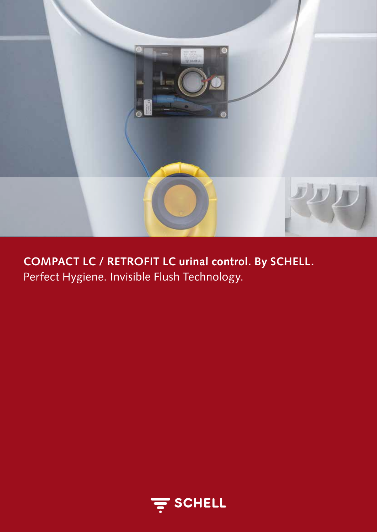

**COMPACT LC / RETROFIT LC urinal control. By SCHELL.**  Perfect Hygiene. Invisible Flush Technology.

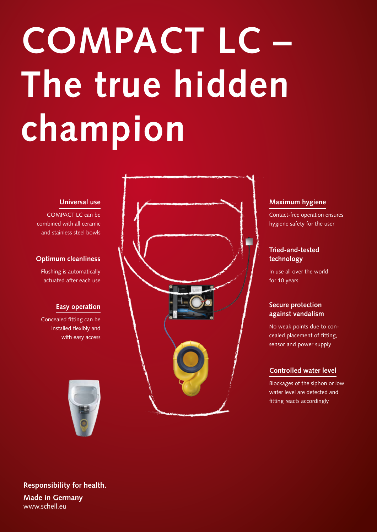# **COMPACT LC – The true hidden champion**

# **Universal use**

COMPACT LC can be combined with all ceramic and stainless steel bowls

# **Optimum cleanliness**

Flushing is automatically actuated after each use

# **Easy operation**

Concealed fitting can be installed flexibly and with easy access





# **Maximum hygiene**

Contact-free operation ensures hygiene safety for the user

# **Tried-and-tested technology**

In use all over the world for 10 years

# **Secure protection against vandalism**

No weak points due to concealed placement of fitting, sensor and power supply

# **Controlled water level**

Blockages of the siphon or low water level are detected and fitting reacts accordingly

**Responsibility for health. Made in Germany** www.schell.eu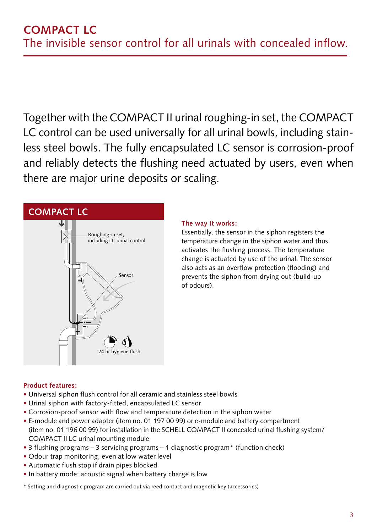Together with the COMPACT II urinal roughing-in set, the COMPACT LC control can be used universally for all urinal bowls, including stainless steel bowls. The fully encapsulated LC sensor is corrosion-proof and reliably detects the flushing need actuated by users, even when there are major urine deposits or scaling.

# **COMPACT LC**



# **The way it works:**

Essentially, the sensor in the siphon registers the temperature change in the siphon water and thus activates the flushing process. The temperature change is actuated by use of the urinal. The sensor also acts as an overflow protection (flooding) and prevents the siphon from drying out (build-up of odours).

# **Product features:**

- Universal siphon flush control for all ceramic and stainless steel bowls
- Urinal siphon with factory-fitted, encapsulated LC sensor
- Corrosion-proof sensor with flow and temperature detection in the siphon water
- E-module and power adapter (item no. 01 197 00 99) or e-module and battery compartment (item no. 01 196 00 99) for installation in the SCHELL COMPACT II concealed urinal flushing system/ COMPACT II LC urinal mounting module
- 3 flushing programs 3 servicing programs 1 diagnostic program\* (function check)
- Odour trap monitoring, even at low water level
- Automatic flush stop if drain pipes blocked
- In battery mode: acoustic signal when battery charge is low
- \* Setting and diagnostic program are carried out via reed contact and magnetic key (accessories)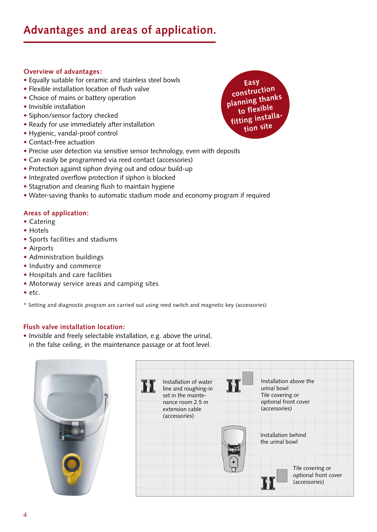# **Overview of advantages:**

- Equally suitable for ceramic and stainless steel bowls
- Flexible installation location of flush valve
- Choice of mains or battery operation
- Invisible installation
- Siphon/sensor factory checked
- Ready for use immediately after installation
- Hygienic, vandal-proof control
- Contact-free actuation
- Precise user detection via sensitive sensor technology, even with deposits
- Can easily be programmed via reed contact (accessories)
- Protection against siphon drying out and odour build-up
- Integrated overflow protection if siphon is blocked
- Stagnation and cleaning flush to maintain hygiene
- Water-saving thanks to automatic stadium mode and economy program if required

# **Areas of application:**

- Catering
- Hotels
- Sports facilities and stadiums
- Airports
- Administration buildings
- Industry and commerce
- Hospitals and care facilities
- Motorway service areas and camping sites
- etc.

\* Setting and diagnostic program are carried out using reed switch and magnetic key (accessories)

# **Flush valve installation location:**

• Invisible and freely selectable installation, e.g. above the urinal, in the false ceiling, in the maintenance passage or at foot level.



|  | Installation of water<br>line and roughing-in<br>set in the mainte-<br>nance room 2.5 m<br>extension cable<br>(accessories) | Installation above the<br>urinal bowl<br>Tile covering or<br>optional front cover<br>(accessories) |
|--|-----------------------------------------------------------------------------------------------------------------------------|----------------------------------------------------------------------------------------------------|
|  |                                                                                                                             | Installation behind<br>the urinal bowl                                                             |
|  |                                                                                                                             | Tile covering or<br>optional front cover<br>(accessories)                                          |

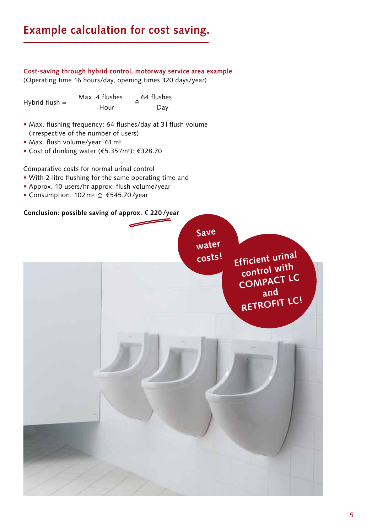# **Example calculation for cost saving.**

# **Cost-saving through hybrid control, motorway service area example** (Operating time 16 hours/day, opening times 320 days/year)

Hybrid flush =  $\frac{\text{Max. 4 flushes}}{\text{Hour}} \cong \frac{64 \text{ flushes}}{\text{Day}}$ 

- Max. flushing frequency: 64 flushes/day at 3 l flush volume (irrespective of the number of users)
- Max. flush volume/year: 61 m<sup>3</sup>
- Cost of drinking water (€5.35 /m3): €328.70

Comparative costs for normal urinal control

- With 2-litre flushing for the same operating time and
- Approx. 10 users/hr approx. flush volume/year
- Consumption:  $102 \text{ m}^3 \text{ } \cong \text{ } \text{\textsterling}545.70$ /year

# **Conclusion: possible saving of approx.** € **220 /year**

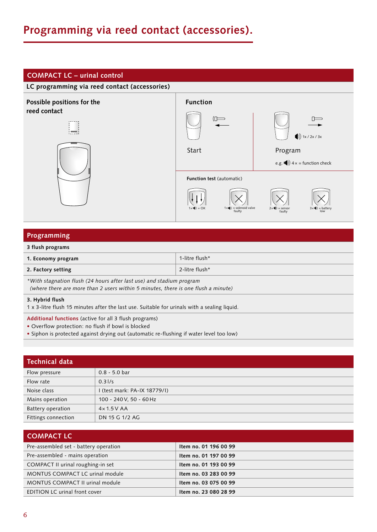# **Programming via reed contact (accessories).**

# **COMPACT LC – urinal control**



# **Programming**

## **3 flush programs**

| 1. Economy program                                                   | 1-litre flush* |  |  |
|----------------------------------------------------------------------|----------------|--|--|
| 2. Factory setting                                                   | 2-litre flush* |  |  |
| *With stagnation flush (24 hours after last use) and stadium program |                |  |  |

*(where there are more than 2 users within 5 minutes, there is one flush a minute)*

### **3. Hybrid flush**

1 x 3-litre flush 15 minutes after the last use. Suitable for urinals with a sealing liquid.

**Additional functions** (active for all 3 flush programs)

- Overflow protection: no flush if bowl is blocked
- Siphon is protected against drying out (automatic re-flushing if water level too low)

| <b>Technical data</b> |                              |  |
|-----------------------|------------------------------|--|
| Flow pressure         | $0.8 - 5.0$ bar              |  |
| Flow rate             | 0.31/s                       |  |
| Noise class           | I (test mark: PA-IX 18779/I) |  |
| Mains operation       | 100 - 240 V, 50 - 60 Hz      |  |
| Battery operation     | $4 \times 1.5$ V AA          |  |
| Fittings connection   | DN 15 G 1/2 AG               |  |

| <b>COMPACT LC</b>                     |                       |  |
|---------------------------------------|-----------------------|--|
| Pre-assembled set - battery operation | Item no. 01 196 00 99 |  |
| Pre-assembled - mains operation       | Item no. 01 197 00 99 |  |
| COMPACT II urinal roughing-in set     | Item no. 01 193 00 99 |  |
| MONTUS COMPACT LC urinal module       | Item no. 03 283 00 99 |  |
| MONTUS COMPACT II urinal module       | Item no. 03 075 00 99 |  |
| <b>EDITION LC urinal front cover</b>  | Item no. 23 080 28 99 |  |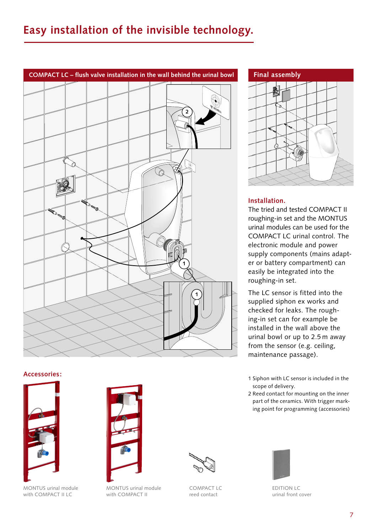

# **Accessories:**



MONTUS urinal module with COMPACT II LC



MONTUS urinal module with COMPACT II



COMPACT LC reed contact



# **Installation.**

The tried and tested COMPACT II roughing-in set and the MONTUS urinal modules can be used for the COMPACT LC urinal control. The electronic module and power supply components (mains adapter or battery compartment) can easily be integrated into the roughing-in set.

The LC sensor is fitted into the supplied siphon ex works and checked for leaks. The roughing-in set can for example be installed in the wall above the urinal bowl or up to 2.5 m away from the sensor (e.g. ceiling, maintenance passage).

- 1 Siphon with LC sensor is included in the scope of delivery.
- 2 Reed contact for mounting on the inner part of the ceramics. With trigger marking point for programming (accessories)



EDITION LC urinal front cover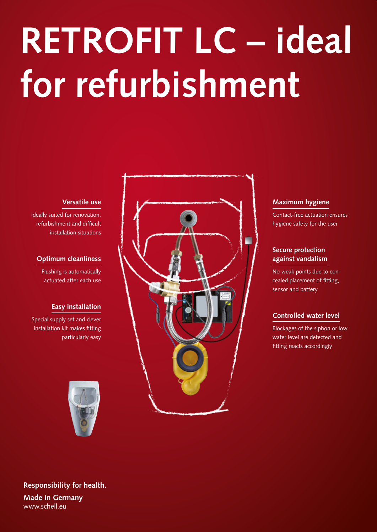# **RETROFIT LC – ideal for refurbishment**

# **Versatile use**

Ideally suited for renovation, refurbishment and difficult installation situations

# **Optimum cleanliness**

Flushing is automatically actuated after each use

# **Easy installation**

Special supply set and clever installation kit makes fitting particularly easy





# **Maximum hygiene**

Contact-free actuation ensures hygiene safety for the user

# **Secure protection against vandalism**

No weak points due to concealed placement of fitting, sensor and battery

# **Controlled water level**

Blockages of the siphon or low water level are detected and fitting reacts accordingly

**Responsibility for health. Made in Germany** www.schell.eu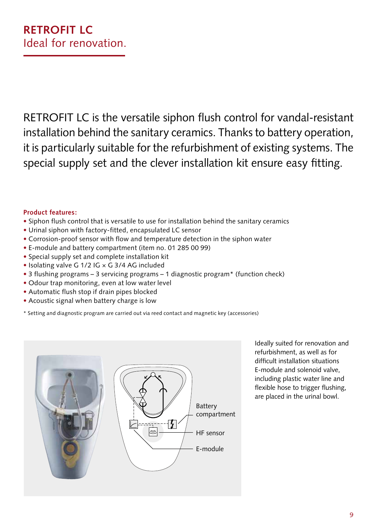RETROFIT LC is the versatile siphon flush control for vandal-resistant installation behind the sanitary ceramics. Thanks to battery operation, it is particularly suitable for the refurbishment of existing systems. The special supply set and the clever installation kit ensure easy fitting.

# **Product features:**

- Siphon flush control that is versatile to use for installation behind the sanitary ceramics
- Urinal siphon with factory-fitted, encapsulated LC sensor
- Corrosion-proof sensor with flow and temperature detection in the siphon water
- E-module and battery compartment (item no. 01 285 00 99)
- Special supply set and complete installation kit
- Isolating valve G 1/2 IG × G 3/4 AG included
- 3 flushing programs 3 servicing programs 1 diagnostic program\* (function check)
- Odour trap monitoring, even at low water level
- Automatic flush stop if drain pipes blocked
- Acoustic signal when battery charge is low
- \* Setting and diagnostic program are carried out via reed contact and magnetic key (accessories)



Ideally suited for renovation and refurbishment, as well as for difficult installation situations E-module and solenoid valve, including plastic water line and flexible hose to trigger flushing, are placed in the urinal bowl.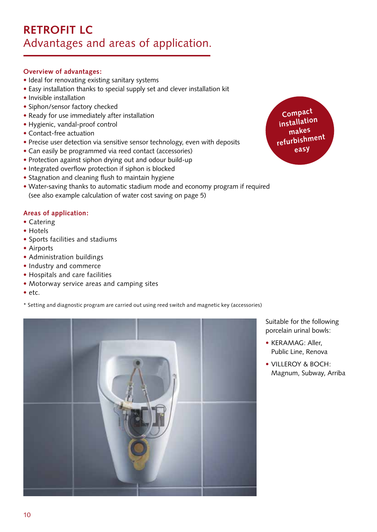# **Overview of advantages:**

- Ideal for renovating existing sanitary systems
- Easy installation thanks to special supply set and clever installation kit
- Invisible installation
- Siphon/sensor factory checked
- Ready for use immediately after installation
- Hygienic, vandal-proof control
- Contact-free actuation
- Precise user detection via sensitive sensor technology, even with deposits
- Can easily be programmed via reed contact (accessories)
- Protection against siphon drying out and odour build-up
- Integrated overflow protection if siphon is blocked
- Stagnation and cleaning flush to maintain hygiene
- Water-saving thanks to automatic stadium mode and economy program if required (see also example calculation of water cost saving on page 5)

# **Areas of application:**

- Catering
- Hotels
- Sports facilities and stadiums
- Airports
- Administration buildings
- Industry and commerce
- Hospitals and care facilities
- Motorway service areas and camping sites
- etc.

\* Setting and diagnostic program are carried out using reed switch and magnetic key (accessories)



**Compact installation makes refurbishmen<sup>t</sup> easy**

Suitable for the following porcelain urinal bowls:

- KERAMAG: Aller, Public Line, Renova
- VILLEROY & BOCH: Magnum, Subway, Arriba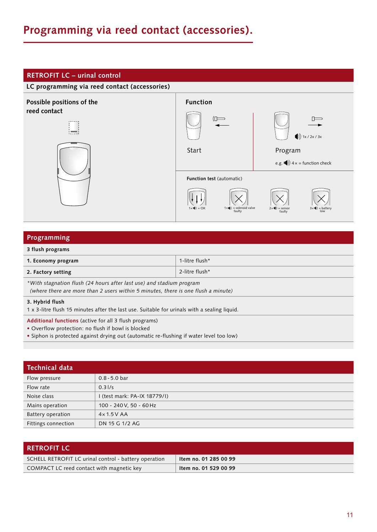# **Programming via reed contact (accessories).**

# **RETROFIT LC – urinal control**



# **Programming**

## **3 flush programs**

| 1. Economy program                                                      | 1-litre flush* |  |
|-------------------------------------------------------------------------|----------------|--|
| 2. Factory setting                                                      | 2-litre flush* |  |
| $*$ With stagnation fluch (24 hours ofter lest use) and stadium program |                |  |

*\*With stagnation flush (24 hours after last use) and stadium program (where there are more than 2 users within 5 minutes, there is one flush a minute)*

### **3. Hybrid flush**

1 x 3-litre flush 15 minutes after the last use. Suitable for urinals with a sealing liquid.

- **Additional functions** (active for all 3 flush programs)
- Overflow protection: no flush if bowl is blocked
- Siphon is protected against drying out (automatic re-flushing if water level too low)

| <b>Technical data</b> |                            |  |
|-----------------------|----------------------------|--|
| Flow pressure         | $0.8 - 5.0$ bar            |  |
| Flow rate             | 0.31/s                     |  |
| Noise class           | (test mark: PA-IX 18779/I) |  |
| Mains operation       | 100 - 240 V, 50 - 60 Hz    |  |
| Battery operation     | $4 \times 1.5$ V AA        |  |
| Fittings connection   | DN 15 G 1/2 AG             |  |

| <b>RETROFIT LC</b>                                    |                       |
|-------------------------------------------------------|-----------------------|
| SCHELL RETROFIT LC urinal control - battery operation | Item no. 01 285 00 99 |
| COMPACT LC reed contact with magnetic key             | Item no. 01 529 00 99 |